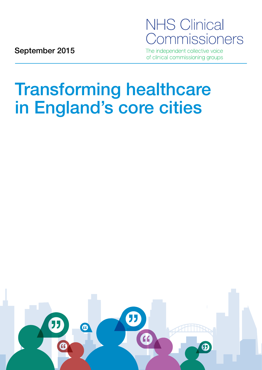# **NHS Clinical** Commissioners

September 2015

The independent collective voice of clinical commissioning groups

# Transforming healthcare in England's core cities

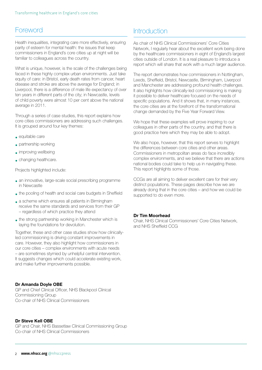### Foreword

Health inequalities, integrating care more effectively, ensuring parity of esteem for mental health: the issues that keep commissioners in England's core cities up at night will be familiar to colleagues across the country.

What is unique, however, is the scale of the challenges being faced in these highly complex urban environments. Just take equity of care: in Bristol, early death rates from cancer, heart disease and stroke are above the average for England; in Liverpool, there is a difference of male life expectancy of over ten years in different parts of the city; in Newcastle, levels of child poverty were almost 10 per cent above the national average in 2011.

Through a series of case studies, this report explains how core cities commissioners are addressing such challenges. It is grouped around four key themes:

- equitable care
- partnership working
- improving wellbeing
- changing healthcare.

Projects highlighted include:

- an innovative, large-scale social prescribing programme in Newcastle
- the pooling of health and social care budgets in Sheffield
- a scheme which ensures all patients in Birmingham receive the same standards and services from their GP – regardless of which practice they attend
- the strong partnership working in Manchester which is laying the foundations for devolution.

Together, these and other case studies show how clinicallyled commissioning is driving constant improvements in care. However, they also highlight how commissioners in our core cities – complex environments with acute needs – are sometimes stymied by unhelpful central intervention. It suggests changes which could accelerate existing work, and make further improvements possible.

#### Dr Amanda Doyle OBE

GP and Chief Clinical Officer, NHS Blackpool Clinical Commissioning Group Co-chair of NHS Clinical Commissioners

#### Dr Steve Kell OBE

GP and Chair, NHS Bassetlaw Clinical Commissioning Group Co-chair of NHS Clinical Commissioners

## Introduction

As chair of NHS Clinical Commissioners' Core Cities Network, I regularly hear about the excellent work being done by the healthcare commissioners in eight of England's largest cities outside of London. It is a real pleasure to introduce a report which will share that work with a much larger audience.

The report demonstrates how commissioners in Nottingham, Leeds, Sheffield, Bristol, Newcastle, Birmingham, Liverpool and Manchester are addressing profound health challenges. It also highlights how clinically-led commissioning is making it possible to deliver healthcare focused on the needs of specific populations. And it shows that, in many instances, the core cities are at the forefront of the transformational change demanded by the Five Year Forward View.

We hope that these examples will prove inspiring to our colleagues in other parts of the country, and that there is good practice here which they may be able to adopt.

We also hope, however, that this report serves to highlight the differences between core cities and other areas. Commissioners in metropolitan areas do face incredibly complex environments, and we believe that there are actions national bodies could take to help us in navigating these. This report highlights some of those.

CCGs are all aiming to deliver excellent care for their very distinct populations. These pages describe how we are already doing that in the core cities – and how we could be supported to do even more.

#### Dr Tim Moorhead

Chair, NHS Clinical Commissioners' Core Cities Network, and NHS Sheffield CCG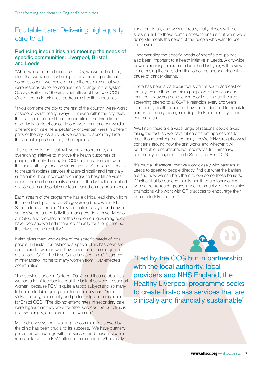## Equitable care: Delivering high-quality care to all

#### Reducing inequalities and meeting the needs of specific communities: Liverpool, Bristol and Leeds

"When we came into being as a CCG, we were absolutely clear that we weren't just going to be a good operational commissioner – we wanted to use the resources that we were responsible for to engineer real change in the system." So says Katherine Sheerin, chief officer of Liverpool CCG. One of the main priorities: addressing health inequalities.

"If you compare the city to the rest of the country, we're worst or second worst nearly always. But even within the city itself, there are phenomenal health inequalities – so three times more likely to die of cancer in one ward than another ward; a difference of male life expectancy of over ten years in different parts of the city. As a CCG, we wanted to absolutely face these challenges head on," she explains.

The outcome is the Healthy Liverpool programme, an overarching initiative to improve the health outcomes of people in the city. Led by the CCG but in partnership with the local authority, local providers and NHS England, it seeks to create first-class services that are clinically and financially sustainable. It will incorporate changes to hospital services, urgent care and community services – the last will be centred on 18 health and social care team based on neighbourhoods.

Each stream of the programme has a clinical lead drawn from the membership of the CCG's governing body, which Ms Sheerin feels is crucial. "They see patients day in and day out, so they've got a credibility that managers don't have. Most of our GPs, and probably all of the GPs on our governing body, have lived and worked in their community for a long time, so that gives them credibility."

It also gives them knowledge of the specific needs of local people. In Bristol, for instance, a special clinic has been set up to care for women who have undergone female genital mutilation (FGM). The Rose Clinic is based in a GP surgery in inner Bristol, home to many women from FGM-affected communities.

"The service started in October 2013, and it came about as we had a lot of feedback about the lack of services to support women, because FGM is quite a taboo subject and so many felt uncomfortable going out into secondary care," reports Vicky Ledbury, community and partnerships commissioner for Bristol CCG. "The did-not-attend rates in secondary care were higher than they were for other services. So our clinic is in a GP surgery, and closer to the women."

Ms Ledbury says that involving the communities served by the clinic has been crucial to its success. "We have quarterly performance meetings with the service, and those include a representative from FGM-affected communities. She's really

important to us, and we work really, really closely with her – she's our link to those communities, to ensure that what we're doing still meets the needs of the people who want to use the service."

Understanding the specific needs of specific groups has also been important to a health initiative in Leeds. A city-wide bowel screening programme launched last year, with a view to increasing the early identification of the second biggest cause of cancer deaths.

There has been a particular focus on the south and east of the city, where there are more people with bowel cancer than the UK average and fewer people taking up the free screening offered to all 60–74-year-olds every two years. Community health educators have been identified to speak to harder-to-reach groups, including black and minority ethnic communities.

"We know there are a wide range of reasons people avoid taking the test, so we have taken different approaches to meet those challenges. For many, they're fairly straightforward concerns around how the test works and whether it will be difficult or uncomfortable," reports Martin Earnshaw, community manager at Leeds South and East CCG.

"It's crucial, therefore, that we work closely with partners in Leeds to speak to people directly, find out what the barriers are and how we can help them to overcome those barriers. Whether that be our community health educators working with harder-to-reach groups in the community, or our practice champions who work with GP practices to encourage their patients to take the test."



"Led by the CCG but in partnership with the local authority, local providers and NHS England, the Healthy Liverpool programme seeks to create first-class services that are clinically and financially sustainable"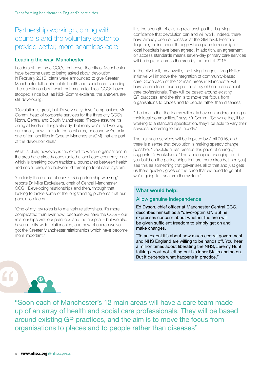## Partnership working: Joining with councils and the voluntary sector to provide better, more seamless care

#### Leading the way: Manchester

Leaders at the three CCGs that cover the city of Manchester have become used to being asked about devolution. In February 2015, plans were announced to give Greater Manchester full control of its health and social care spending. The questions about what that means for local CCGs haven't stopped since but, as Nick Gomm explains, the answers are still developing.

"Devolution is great, but it's very early days," emphasises Mr Gomm, head of corporate services for the three city CCGs: North, Central and South Manchester. "People assume it's doing all kinds of things already, but really we're still working out exactly how it links to the local area, because we're only one of ten localities in Greater Manchester (GM) that are part of the devolution deal."

What is clear, however, is the extent to which organisations in the area have already constructed a local care economy: one which is breaking down traditional boundaries between health and social care, and between different parts of each system.

"Certainly the culture of our CCG is partnership working," reports Dr Mike Eeckalaers, chair of Central Manchester CCG. "Developing relationships and then, through that, looking to tackle some of the longstanding problems that our population faces.

"One of my key roles is to maintain relationships. It's more complicated than ever now, because we have the CCG – our relationships with our practices and the hospital – but we also have our city-wide relationships, and now of course we've got the Greater Manchester relationships which have become more important."

It is the strength of existing relationships that is giving confidence that devolution can and will work. Indeed, there have already been successes at the GM level: Healthier Together, for instance, through which plans to reconfigure local hospitals have been agreed. In addition, an agreement on access standards means seven-day primary care services will be in place across the area by the end of 2015.

In the city itself, meanwhile, the Living Longer, Living Better initiative will improve the integration of community-based care. Soon each of the 12 main areas in Manchester will have a care team made up of an array of health and social care professionals. They will be based around existing GP practices, and the aim is to move the focus from organisations to places and to people rather than diseases.

"The idea is that the teams will really have an understanding of their local communities," says Mr Gomm. "So while they'll be working to a standard specification, they'll be able to vary their services according to local needs."

The first such services will be in place by April 2016, and there is a sense that devolution is making speedy change possible. "Devolution has created this pace of change," suggests Dr Eeckalaers. "The landscape's changing, but if you build on the partnerships that are there already, [then you] see this as something that galvanises all of that and just gets us there quicker; gives us the pace that we need to go at if we're going to transform the system."

#### What would help:

#### Allow genuine independence

Ed Dyson, chief officer at Manchester Central CCG, describes himself as a "devo-optimist". But he expresses concern about whether the area will be given sufficient freedom to simply get on and make changes.

"To an extent it's about how much central government and NHS England are willing to be hands off. You hear a million times about liberating the NHS, Jeremy Hunt talking about not letting out his inner Stalin and so on. But it depends what happens in practice."

 $\epsilon$ 

"Soon each of Manchester's 12 main areas will have a care team made up of an array of health and social care professionals. They will be based around existing GP practices, and the aim is to move the focus from organisations to places and to people rather than diseases"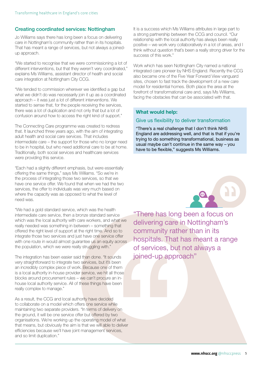#### Creating coordinated services: Nottingham

Jo Williams says there has long been a focus on delivering care in Nottingham's community rather than in its hospitals. That has meant a range of services, but not always a joinedup approach.

"We started to recognise that we were commissioning a lot of different interventions, but that they weren't very coordinated," explains Ms Williams, assistant director of health and social care integration at Nottingham City CCG.

"We tended to commission wherever we identified a gap but what we didn't do was necessarily join it up as a coordinated approach – it was just a lot of different interventions. We started to sense that, for the people receiving the services, there was a lot of duplication and not only that but a lot of confusion around how to access the right kind of support."

The Connecting Care programme was created to redress that. It launched three years ago, with the aim of integrating adult health and social care services. That includes intermediate care – the support for those who no longer need to be in hospital, but who need additional care to be at home. Traditionally, both social services and healthcare services were providing this service.

"Each had a slightly different emphasis, but were essentially offering the same things," says Ms Williams. "So we're in the process of integrating those two services, so that we have one service offer. We found that when we had the two services, the offer to individuals was very much based on where the capacity was as opposed to what the level of need was.

"We had a gold standard service, which was the health intermediate care service, then a bronze standard service which was the local authority with care workers, and what we really needed was something in between – something that offered the right level of support at the right time. And so to integrate those two services and just have one service offer with one route in would almost guarantee us an equity across the population, which we were really struggling with."

The integration has been easier said than done. "It sounds very straightforward to integrate two services, but it's been an incredibly complex piece of work. Because one of them is a local authority in-house provider service, we hit all those blocks around procurement rules – we can't procure an inhouse local authority service. All of these things have been really complex to manage."

As a result, the CCG and local authority have decided to collaborate on a model which offers one service while maintaining two separate providers. "In terms of delivery on the ground, it will be one service offer but offered by two organisations. We're working up the operating model of what that means, but obviously the aim is that we will able to deliver efficiencies because we'll have joint management services, and so limit duplication."

It is a success which Ms Williams attributes in large part to a strong partnership between the CCG and council. "Our relationship with the local authority has always been really positive – we work very collaboratively in a lot of areas, and I think without question that's been a really strong driver for the success of this work."

Work which has seen Nottingham City named a national integrated care pioneer by NHS England. Recently the CCG also became one of the Five Year Forward View vanguard sites, chosen to fast track the development of a new care model for residential homes. Both place the area at the forefront of transformational care and, says Ms Williams, facing the obstacles that can be associated with that.

#### What would help:

#### Give us flexibility to deliver transformation

"There's a real challenge that I don't think NHS England are addressing well, and that is that if you're trying to do something transformational, business as usual maybe can't continue in the same way – you have to be flexible," suggests Ms Williams.



"There has long been a focus on delivering care in Nottingham's community rather than in its hospitals. That has meant a range of services, but not always a joined-up approach"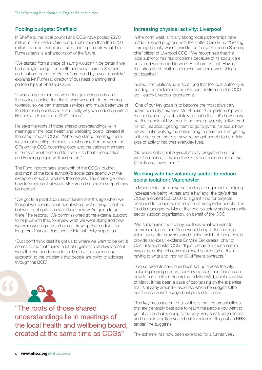#### Pooling budgets: Sheffield

In Sheffield, the local council and CCG have pooled £270 million in their Better Care Fund. That's more than the £200 million required by national rules, and represents what Tim Furness says is a shared vision of the future.

"We started from a place of saying wouldn't it be better if we had a single budget for health and social care in Sheffield, and that pre-dated the Better Care Fund by a year possibly," explains Mr Furness, director of business planning and partnerships at Sheffield CCG.

"It was an agreement between the governing body and the council cabinet that that's what we ought to be moving towards, so we can integrate services and make better use of the Sheffield pound. And that's really why we ended up with a Better Care Fund that's £270 million."

He says the roots of those shared understandings lie in meetings of the local health and wellbeing board, created at the same time as CCGs. "When we started meeting, there was a real meeting of minds; a real connection between the GPs on the CCG governing body and the cabinet members in terms of what mattered to them – so health inequalities, and keeping people well and so on."

The Fund incorporates a seventh of the CCG's budget, and most of the local authority's social care spend with the exception of social workers themselves. The challenge now: how to progress that work. Mr Furness suspects support may be needed.

"We got to a point about six or seven months ago when we thought we're really clear about where we're trying to get to, but we're not quite so clear about how we're going to get there," he reports. "We commissioned some external support to help us with that, to review what we were doing and how we were working and to help us draw up the medium- to long-term financial plan, and I think that really helped us.

"But I don't think itself it's got us to where we want to be yet. It seems to me that there's a lot of organisational development work that we need to do to really make this a joined-up approach to the problems that people are trying to address through the BCF."



 $\epsilon$ 

"The roots of those shared understandings lie in meetings of the local health and wellbeing board, created at the same time as CCGs"

#### Increasing physical activity: Liverpool

In the north west, similarly strong local partnerships have made for good progress with the Better Care Fund. "Getting it arranged really wasn't hard for us," says Katherine Sheerin, chief officer of Liverpool CCG. "We recognised that the local authority has real problems because of its social care cuts, and we needed to work with them on that. Having that strength of relationship meant we could work things out together."

Indeed, the relationship is so strong that the local authority is heading the implementation of a central stream in the CCGled Healthy Liverpool programme.

"One of our key goals is to become the most physically active core city," explains Ms Sheerin. "Our partnership with the local authority is absolutely critical in this – it's how do we get the people of Liverpool to be more physically active. And it's not just about getting them to go to gyms, it's about how do we make walking the easier thing to do rather than getting in the car or on the bus; how do we get people to build this type of activity into their everyday lives.

"So we've got a joint physical activity programme set up with the council, to which the CCG has just committed over £2 million of investment."

#### Working with the voluntary sector to reduce social isolation: Manchester

In Manchester, an innovative funding arrangement is helping increase wellbeing. A year and a half ago, the city's three CCGs allocated £600,000 to a grant fund for projects designed to reduce social isolation among older people. The fund is managed by Macc, the local voluntary and community sector support organisation, on behalf of the CCG.

"We said: here's the money, we'll say what we want to commission, and then Macc would bring in the potential voluntary sector providers and decide which of those would provide services," explains Dr Mike Eeckelaers, chair of Central Manchester CCG. "It just became a much simpler way of providing this commissioned service rather than having to write and monitor 30 different contracts."

Diverse projects have now been set up across the city, including singing groups, cookery classes, and lessons on how to use an iPad. According to Mike Wild, chief executive of Macc, it has been a case of capitalising on the expertise that is already around – expertise which he suggests the health service isn't always best placed to reach.

"The key message out of all of this is that the organisations that are generally best able to reach the people you want to get at are probably going to be very, very small, very informal, and never in a million years be interested in filling out an NHS tender," he suggests.

The scheme has now been extended for a further year.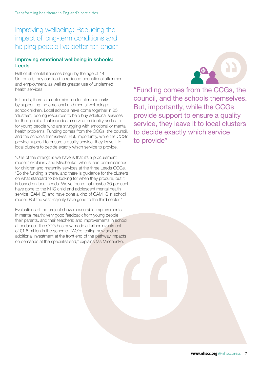## Improving wellbeing: Reducing the impact of long-term conditions and helping people live better for longer

#### Improving emotional wellbeing in schools: Leeds

Half of all mental illnesses begin by the age of 14. Untreated, they can lead to reduced educational attainment and employment, as well as greater use of unplanned health services.

In Leeds, there is a determination to intervene early by supporting the emotional and mental wellbeing of schoolchildren. Local schools have come together in 25 'clusters', pooling resources to help buy additional services for their pupils. That includes a service to identify and care for young people who are struggling with emotional or mental health problems. Funding comes from the CCGs, the council, and the schools themselves. But, importantly, while the CCGs provide support to ensure a quality service, they leave it to local clusters to decide exactly which service to provide.

"One of the strengths we have is that it's a procurement model," explains Jane Mischenko, who is lead commissioner for children and maternity services at the three Leeds CCGs. "So the funding is there, and there is guidance for the clusters on what standard to be looking for when they procure, but it is based on local needs. We've found that maybe 30 per cent have gone to the NHS child and adolescent mental health service (CAMHS) and have done a kind of CAMHS in school model. But the vast majority have gone to the third sector."

Evaluations of the project show measurable improvements in mental health; very good feedback from young people, their parents, and their teachers; and improvements in school attendance. The CCG has now made a further investment of £1.5 million in the scheme. "We're testing how adding additional investment at the front end of the pathway impacts on demands at the specialist end," explains Ms Mischenko.



"Funding comes from the CCGs, the council, and the schools themselves. But, importantly, while the CCGs provide support to ensure a quality service, they leave it to local clusters to decide exactly which service to provide"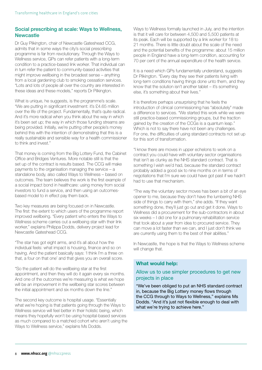#### Social prescribing at scale: Ways to Wellness, **Newcastle**

Dr Guy Pilkington, chair of Newcastle Gateshead CCG, admits that in some ways the city's social prescribing programme is far from revolutionary. Through the Ways to Wellness service, GPs can refer patients with a long-term condition to a practice-based link worker. That individual can in turn refer the patient to community-based activities that might improve wellbeing in the broadest sense – anything from a local gardening club to smoking cessation services. "Lots and lots of people all over the country are interested in these ideas and these models," reports Dr Pilkington.

What is unique, he suggests, is the programme's scale. "We are putting in significant investment: it's £4.65 million over the life of the project. Fundamentally, that's quite radical. And it's more radical when you think about the way in which it's been set up; the way in which those funding streams are being provided. Initially, we're putting other people's money behind this with the intention of demonstrating that this is a really sustainable and sensible way for a health commissioner to think and invest."

That money is coming from the Big Lottery Fund, the Cabinet Office and Bridges Ventures. More notable still is that the set up of the contract is results based. The CCG will make payments to the organisation managing the service – a standalone body, also called Ways to Wellness – based on outcomes. The team believes the work is the first example of a social impact bond in healthcare: using money from social investors to fund a service, and then using an outcomesbased model to in effect pay them back.

Two key measures are being focused on in Newcastle. The first: the extent to which users of the programme report improved wellbeing. "Every patient who enters the Ways to Wellness scheme carries out a wellbeing star with their link worker," explains Philippa Dodds, delivery project lead for Newcastle Gateshead CCG.

"The star has got eight arms, and it's all about how the individual feels: what impact is housing, finance and so on having. And the patient basically says: 'I think I'm a three on that, a four on that one' and that gives you an overall score.

"So the patient will do the wellbeing star at the first appointment, and then they will do it again every six months. And one of the outcomes we're measuring is what we hope will be an improvement in the wellbeing star scores between the initial appointment and six months down the line."

The second key outcome is hospital usage. "Essentially what we're hoping is that patients going through the Ways to Wellness service will feel better in their holistic being, which means they hopefully won't be using hospital-based services as much compared to a matched cohort who aren't using the Ways to Wellness service," explains Ms Dodds.

Ways to Wellness formally launched in July, and the intention is that it will care for between 4,500 and 5,500 patients at its peak. Each will be supported by a link worker for 18 to 21 months. There is little doubt about the scale of the need and the potential benefits of the programme: about 15 million people in England have a long-term condition, accounting for 70 per cent of the annual expenditure of the health service.

It is a need which GPs fundamentally understand, suggests Dr Pilkington. "Every day they see their patients living with long-term conditions having things done unto them, and they know that the solution isn't another tablet – it's something else, it's something about their lives."

It is therefore perhaps unsurprising that he feels the introduction of clinical commissioning has "absolutely" made a difference to services. "We started this work while we were still practice-based commissioning groups, but the traction gained by the creation of the CCGs is a quantum leap." Which is not to say there have not been any challenges. For one, the difficulties of using standard contracts not set up for this sort of transformation.

"I know there are moves in upper echelons to work on a contract you could have with voluntary sector organisations that isn't as clunky as the NHS standard contract. That is something I wish we'd had, because the standard contract probably added a good six to nine months on in terms of negotiations that I'm sure we could have got past if we hadn't had to use that mechanism.

"The way the voluntary sector moves has been a bit of an eye opener to me, because they don't have the lumbering NHS side of things to carry with them," she adds. "If they want something done, they'll just go out and get it done. Ways to Wellness did a procurement for the sub-contractors in about six weeks – I did one for a pulmonary rehabilitation service that took about a year from idea to procured service. They can move a lot faster than we can, and I just don't think we are currently using them to the best of their abilities."

In Newcastle, the hope is that the Ways to Wellness scheme will change that.

#### What would help:

#### Allow us to use simpler procedures to get new projects in place

"We've been obliged to put an NHS standard contract in, because the Big Lottery money flows through the CCG through to Ways to Wellness," explains Ms Dodds. "And it's just not flexible enough to deal with what we're trying to achieve here."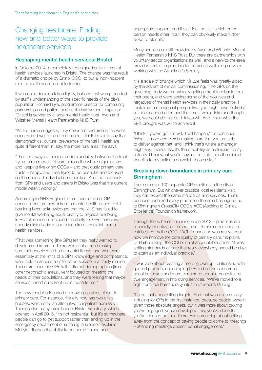## Changing healthcare: Finding new and better ways to provide healthcare services

#### Reshaping mental health services: Bristol

In October 2014, a completely redesigned suite of mental health services launched in Bristol. The change was the result of a dramatic choice by Bristol CCG: to put all non-inpatient mental health services out to tender.

It was not a decision taken lightly, but one that was grounded by staff's understanding of the specific needs of the city's population. Richard Lyle, programme director for community, partnerships and patient and public involvement, explains: "Bristol is served by a large mental health trust: Avon and Wiltshire Mental Health Partnership NHS Trust.

"As the name suggests, they cover a broad area in the west country, and we're the urban centre. I think it's fair to say that demographics, culture, prevalence of mental ill health are quite different than in, say, the more rural area," he says.

"There is always a tension, understandably, between the trust trying to run models of care across the whole organisation and keeping five or six CCGs – and previously primary care trusts – happy, and then trying to be bespoke and focused on the needs of individual communities. And the feedback from GPs and users and carers in Bristol was that the current model wasn't working."

According to NHS England, more than a third of GP consultations are now linked to mental health issues. Yet it has long been acknowledged that the NHS has failed to give mental wellbeing equal priority to physical wellbeing. In Bristol, concerns included the ability for GPs to receive speedy clinical advice and liaison from specialist mental health services.

"That was something [the GPs] felt they really wanted to develop and improve. There was a lot around making sure that people who had a mental illness, and who were essentially at the limits of a GP's knowledge and competence, were able to access an alternative service in a timely manner. These are inner city GPs with different demographics [from other geographic areas], very focused on meeting the needs of their populations, and they were feeling that maybe services hadn't quite kept up in those terms."

The new model is focused on moving services closer to primary care. For instance, the city now has two crisis houses, which offer an alternative to inpatient admission. There is also a day crisis house, Bristol Sanctuary, which opened in April 2015. "It's not residential, but it's somewhere people can go to get support rather than ending up in the emergency department or suffering in silence," explains Mr Lyle. "It gives the ability to get some trained and

appropriate support, and if staff feel the risk is high or the person needs other input, they can obviously make further onward referrals."

Many services are still provided by Avon and Wiltshire Mental Health Partnership NHS Trust. But there are partnerships with voluntary sector organisations as well, and a new-to-the-area provider trust is responsible for dementia wellbeing services – working with the Alzheimer's Society.

It is a scale of change which Mr Lyle feels was greatly aided by the advent of clinical commissioning. "The GPs on the governing body were obviously getting direct feedback from their peers, and were seeing some of the positives and negatives of mental health services in their daily practice. I think from a managerial perspective, you might have looked at all this extended effort and the time it would take and thought, yes, we could do this but it takes will. And I think what the GPs brought was will to achieve it.

"I think if you've got the will, it will happen," he continues. "What is more complex is making sure that you are able to deliver against that, and I think that's where a manager might say: there's risk. It's the credibility as a clinician to say: actually, I hear what you're saying, but I still think the clinical benefits to my patients outweigh those risks."

#### Breaking down boundaries in primary care: Birmingham

There are over 100 separate GP practices in the city of Birmingham. But whichever practice local residents visit, they can expect the same standards and services. That's because each and every practice in the area has signed up to Birmingham CrossCity CCG's ACE (Aspiring to Clinical Excellence) Foundation framework.

Through the scheme – running since 2013 – practices are financially incentivised to meet a set of minimum standards established by the CCG. "ACE Foundation was really about how we improve the core quality of primary care," explains Dr Barbara King, the CCG's chief accountable officer. "It was setting standards of care that really everybody should be able to attain as an individual practice."

It was also about creating a more 'grown up' relationship with general practice, encouraging GPs to be less concerned about tickboxes and more concerned about demonstrating true engagement in improving services. "We've moved to a high trust, low bureaucracy situation," reports Dr King.

"It's not just about hitting targets. And that was quite anxiety inducing for GPs in the first instance, because people weren't given those absolute targets, but it was more about proving you've engaged, you've developed this, you've done that, you've focused on this. There was something about getting away from the concept of paying people to come to meetings – attending meetings doesn't equal engagement."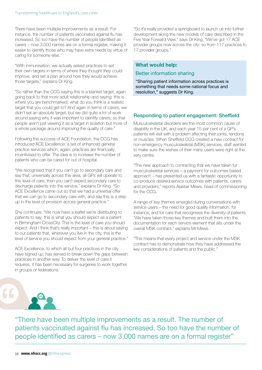There have been multiple improvements as a result. For instance, the number of patients vaccinated against flu has increased. So too have the number of people identified as carers – now 3,000 names are on a formal register, making it easier to identify those who may have extra needs by virtue of caring for someone else.

"With immunisation, we actually asked practices to set their own targets in terms of where they thought they could improve, and set a plan around how they would achieve those targets," explains Dr King.

"So rather than the CCG saying this is a blanket target, again going back to that more adult relationship and saying: this is where you are benchmarked, what do you think is a realistic target that you could get to? And again in terms of carers, we didn't set an absolute target, but we did quite a lot of work around saying why it was important to identify carers, so that people aren't just viewing it as a target in isolation but more of a whole package around improving the quality of care."

Following the success of ACE Foundation, the CCG has introduced ACE Excellence: a set of enhanced general practice services which, again, practices are financially incentivised to offer. The idea is to increase the number of patients who can be cared for out of hospital.

"We recognised that if you can't go to secondary care and say that, universally across this area, all GPs will operate to this level of care, then you can't expect secondary care to discharge patients into the service," explains Dr King. "So ACE Excellence came out so that we had a universal offer that we can go to secondary care with, and say this is a step up in the level of provision across general practice."

She continues: "We now have a leaflet we're distributing to patients to say: this is what you should expect as a patient in Birmingham CrossCity. This is the level of care you should expect. And I think that's really important – this is about saying to our patients that, wherever you live in the city, this is the level of service you should expect from your general practice."

ACE Excellence, to which all but four practices in the city have signed up, has served to break down the gaps between practices in another way. To deliver the level of care it requires, it has been necessary for surgeries to work together in groups or federations.

"So it's really provided a springboard to launch us into further development along the new models of care described in the Five Year Forward View," says Dr King. "We've got 17 ACE provider groups now across the city: so from 117 practices to 17 provider groups."

#### What would help:

#### Better information sharing

"Sharing patient information across practices is something that needs some national focus and resolution," suggests Dr King.

#### Responding to patient engagement: Sheffield

Musculoskeletal disorders are the most common cause of disability in the UK, and each year 15 per cent of a GP's patients will visit with a problem affecting their joints, tendons or muscles. When Sheffield CCG created a new contract for non-emergency musculoskeletal (MSK) services, staff wanted to make sure the wishes of their many users were right at the very centre.

"The new approach to contracting that we have taken for musculoskeletal services – a payment for outcomes based approach – has presented us with a fantastic opportunity to co-produce desired service outcomes with patients, carers and providers," reports Alastair Mews, head of commissioning for the CCG.

A range of key themes emerged during conversations with service users – the need for good quality information, for instance, and for care that recognises the diversity of patients. "We have taken those key themes and built them into the documentation for each service element that sits under the overall MSK contract," explains Mr Mews.

"This means that every project and service under the MSK contract has to demonstrate how they have addressed the key considerations of patients and the public."



"There have been multiple improvements as a result. The number of patients vaccinated against flu has increased. So too have the number of people identified as carers – now 3,000 names are on a formal register"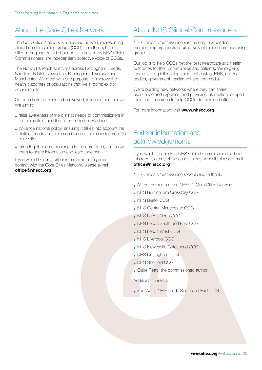## About the Core Cities Network

The Core Cities Network is a peer-led network representing clinical commissioning groups (CCG) from the eight core cities in England outside London. It is hosted by NHS Clinical Commissioners, the independent collective voice of CCGs.

The Network's reach stretches across Nottingham, Leeds, Sheffield, Bristol, Newcastle, Birmingham, Liverpool and Manchester. We meet with one purpose: to improve the health outcomes of populations that live in complex city environments.

Our members are keen to be involved, influence and innovate. We aim to:

- raise awareness of the distinct needs of commissioners in the core cities, and the common issues we face
- influence national policy, ensuring it takes into account the distinct needs and common issues of commissioners in the core cities
- bring together commissioners in the core cities, and allow them to share information and learn together.

If you would like any further information or to get in contact with the Core Cities Network, please e-mail [office@nhscc.org](mailto:office@nhscc.org)

## About NHS Clinical Commissioners

NHS Clinical Commissioners is the only independent membership organisation exclusively of clinical commissioning groups.

Our job is to help CCGs get the best healthcare and health outcomes for their communities and patients. We're giving them a strong influencing voice to the wider NHS, national bodies, government, parliament and the media.

We're building new networks where they can share experience and expertise; and providing information, support, tools and resources to help CCGs do their job better.

For more information, visit [www.nhscc.org](http://www.nhscc.org)

## Further information and acknowledgements

If you would to speak to NHS Clinical Commissioners about this report, or any of the case studies within it, please e-mail [office@nhscc.org](mailto:office@nhscc.org)

NHS Clinical Commissioners would like to thank:

- All the members of the NHSCC Core Cities Network
- NHS Birmingham CrossCity CCG
- NHS Bristol CCG
- NHS Central Manchester CCG
- NHS Leeds North CCG
- NHS Leeds South and East CCG
- • NHS Leeds West CCG
- NHS Liverpool CCG
- NHS Newcastle Gateshead CCG
- NHS Nottingham CCG
- NHS Sheffield CCG
- Claire Read, the commissioned author

Additional thanks to:

• Zoe Ward, NHS Leeds South and East CCG